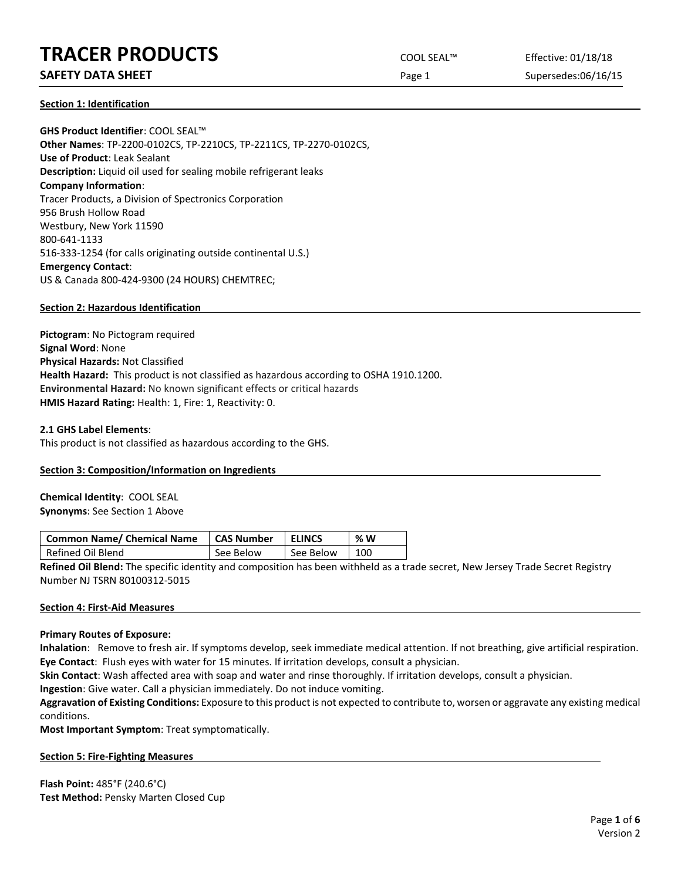# **TRACER PRODUCTS** COOL SEAL™ Effective: 01/18/18

# **SAFETY DATA SHEET** SUPERFOUR CONSUMING THE Page 1 Supersedes:06/16/15

**Section 1: Identification**

**GHS Product Identifier**: COOL SEAL™ **Other Names**: TP-2200-0102CS, TP-2210CS, TP-2211CS, TP-2270-0102CS, **Use of Product**: Leak Sealant **Description:** Liquid oil used for sealing mobile refrigerant leaks **Company Information**: Tracer Products, a Division of Spectronics Corporation 956 Brush Hollow Road Westbury, New York 11590 800-641-1133 516-333-1254 (for calls originating outside continental U.S.) **Emergency Contact**: US & Canada 800-424-9300 (24 HOURS) CHEMTREC;

#### **Section 2: Hazardous Identification**

**Pictogram**: No Pictogram required **Signal Word**: None **Physical Hazards:** Not Classified **Health Hazard:** This product is not classified as hazardous according to OSHA 1910.1200. **Environmental Hazard:** No known significant effects or critical hazards **HMIS Hazard Rating:** Health: 1, Fire: 1, Reactivity: 0.

#### **2.1 GHS Label Elements**:

This product is not classified as hazardous according to the GHS.

# **Section 3: Composition/Information on Ingredients**

**Chemical Identity**: COOL SEAL **Synonyms**: See Section 1 Above

| Common Name/ Chemical Name | <b>CAS Number</b> | <b>ELINCS</b> | % W |
|----------------------------|-------------------|---------------|-----|
| Refined Oil Blend          | See Below         | See Below     | 100 |

**Refined Oil Blend:** The specific identity and composition has been withheld as a trade secret, New Jersey Trade Secret Registry Number NJ TSRN 80100312-5015

#### **Section 4: First-Aid Measures**

#### **Primary Routes of Exposure:**

**Inhalation**: Remove to fresh air. If symptoms develop, seek immediate medical attention. If not breathing, give artificial respiration. **Eye Contact**: Flush eyes with water for 15 minutes. If irritation develops, consult a physician.

**Skin Contact**: Wash affected area with soap and water and rinse thoroughly. If irritation develops, consult a physician.

**Ingestion**: Give water. Call a physician immediately. Do not induce vomiting.

**Aggravation of Existing Conditions:** Exposure to this product is not expected to contribute to, worsen or aggravate any existing medical conditions.

**Most Important Symptom**: Treat symptomatically.

#### **Section 5: Fire-Fighting Measures**

**Flash Point:** 485°F (240.6°C) **Test Method:** Pensky Marten Closed Cup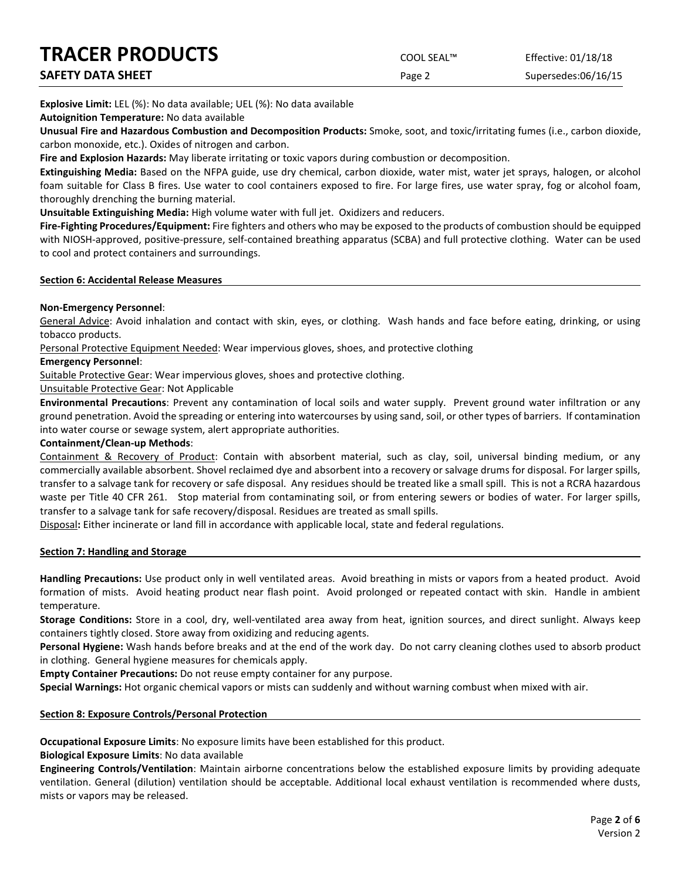| <b>TRACER PRODUCTS</b> | COOL SEAL™ | Effective: 01/18/18 |
|------------------------|------------|---------------------|
| SAFETY DATA SHEET      | Page 2     | Supersedes:06/16/15 |

**Explosive Limit:** LEL (%): No data available; UEL (%): No data available

**Autoignition Temperature:** No data available

**Unusual Fire and Hazardous Combustion and Decomposition Products:** Smoke, soot, and toxic/irritating fumes (i.e., carbon dioxide, carbon monoxide, etc.). Oxides of nitrogen and carbon.

**Fire and Explosion Hazards:** May liberate irritating or toxic vapors during combustion or decomposition.

**Extinguishing Media:** Based on the NFPA guide, use dry chemical, carbon dioxide, water mist, water jet sprays, halogen, or alcohol foam suitable for Class B fires. Use water to cool containers exposed to fire. For large fires, use water spray, fog or alcohol foam, thoroughly drenching the burning material.

**Unsuitable Extinguishing Media:** High volume water with full jet. Oxidizers and reducers.

**Fire-Fighting Procedures/Equipment:** Fire fighters and others who may be exposed to the products of combustion should be equipped with NIOSH-approved, positive-pressure, self-contained breathing apparatus (SCBA) and full protective clothing. Water can be used to cool and protect containers and surroundings.

#### **Section 6: Accidental Release Measures**

# **Non-Emergency Personnel**:

General Advice: Avoid inhalation and contact with skin, eyes, or clothing. Wash hands and face before eating, drinking, or using tobacco products.

Personal Protective Equipment Needed: Wear impervious gloves, shoes, and protective clothing

#### **Emergency Personnel**:

Suitable Protective Gear: Wear impervious gloves, shoes and protective clothing.

# Unsuitable Protective Gear: Not Applicable

**Environmental Precautions**: Prevent any contamination of local soils and water supply. Prevent ground water infiltration or any ground penetration. Avoid the spreading or entering into watercourses by using sand, soil, or other types of barriers. If contamination into water course or sewage system, alert appropriate authorities.

### **Containment/Clean-up Methods**:

Containment & Recovery of Product: Contain with absorbent material, such as clay, soil, universal binding medium, or any commercially available absorbent. Shovel reclaimed dye and absorbent into a recovery or salvage drums for disposal. For larger spills, transfer to a salvage tank for recovery or safe disposal. Any residues should be treated like a small spill. This is not a RCRA hazardous waste per Title 40 CFR 261. Stop material from contaminating soil, or from entering sewers or bodies of water. For larger spills, transfer to a salvage tank for safe recovery/disposal. Residues are treated as small spills.

Disposal**:** Either incinerate or land fill in accordance with applicable local, state and federal regulations.

# **Section 7: Handling and Storage**

**Handling Precautions:** Use product only in well ventilated areas. Avoid breathing in mists or vapors from a heated product. Avoid formation of mists. Avoid heating product near flash point. Avoid prolonged or repeated contact with skin. Handle in ambient temperature.

**Storage Conditions:** Store in a cool, dry, well-ventilated area away from heat, ignition sources, and direct sunlight. Always keep containers tightly closed. Store away from oxidizing and reducing agents.

**Personal Hygiene:** Wash hands before breaks and at the end of the work day. Do not carry cleaning clothes used to absorb product in clothing. General hygiene measures for chemicals apply.

**Empty Container Precautions:** Do not reuse empty container for any purpose.

**Special Warnings:** Hot organic chemical vapors or mists can suddenly and without warning combust when mixed with air.

# **Section 8: Exposure Controls/Personal Protection**

**Occupational Exposure Limits**: No exposure limits have been established for this product.

**Biological Exposure Limits**: No data available

**Engineering Controls/Ventilation**: Maintain airborne concentrations below the established exposure limits by providing adequate ventilation. General (dilution) ventilation should be acceptable. Additional local exhaust ventilation is recommended where dusts, mists or vapors may be released.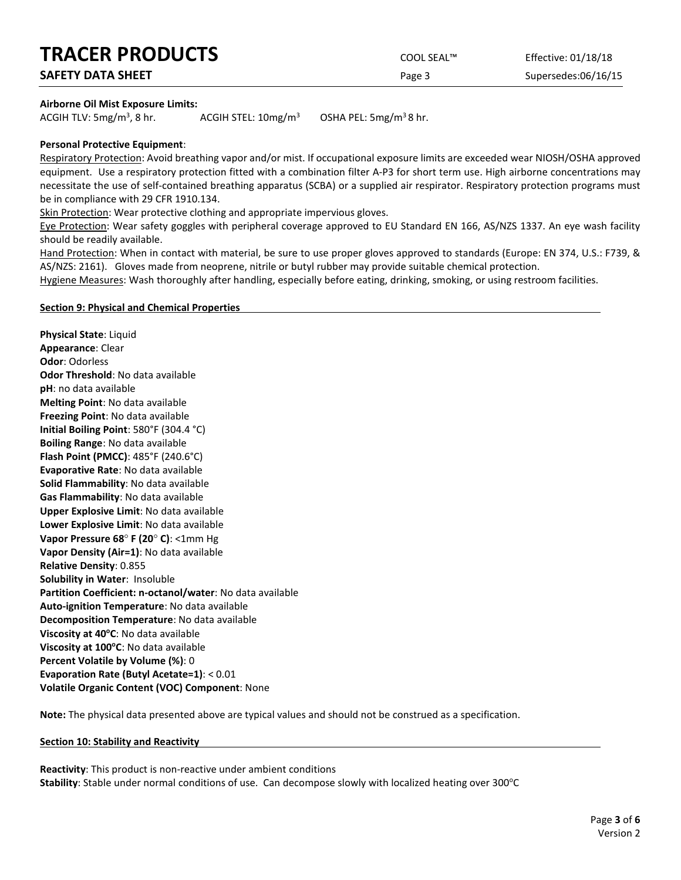| <b>TRACER PRODUCTS</b> | COOL SEAL™ | Effective: 01/18/18 |
|------------------------|------------|---------------------|
| SAFETY DATA SHEET      | Page 3     | Supersedes:06/16/15 |

#### **Airborne Oil Mist Exposure Limits:**

ACGIH TLV:  $5mg/m<sup>3</sup>$ , 8 hr. ACGIH STEL:  $10mg/m^3$  OSHA PEL:  $5mg/m^3$  8 hr.

#### **Personal Protective Equipment**:

Respiratory Protection: Avoid breathing vapor and/or mist. If occupational exposure limits are exceeded wear NIOSH/OSHA approved equipment. Use a respiratory protection fitted with a combination filter A-P3 for short term use. High airborne concentrations may necessitate the use of self-contained breathing apparatus (SCBA) or a supplied air respirator. Respiratory protection programs must be in compliance with 29 CFR 1910.134.

Skin Protection: Wear protective clothing and appropriate impervious gloves.

Eye Protection: Wear safety goggles with peripheral coverage approved to EU Standard EN 166, AS/NZS 1337. An eye wash facility should be readily available.

Hand Protection: When in contact with material, be sure to use proper gloves approved to standards (Europe: EN 374, U.S.: F739, & AS/NZS: 2161). Gloves made from neoprene, nitrile or butyl rubber may provide suitable chemical protection.

Hygiene Measures: Wash thoroughly after handling, especially before eating, drinking, smoking, or using restroom facilities.

#### **Section 9: Physical and Chemical Properties**

**Physical State**: Liquid **Appearance**: Clear **Odor**: Odorless **Odor Threshold**: No data available **pH**: no data available **Melting Point**: No data available **Freezing Point**: No data available **Initial Boiling Point**: 580°F (304.4 °C) **Boiling Range**: No data available **Flash Point (PMCC)**: 485°F (240.6°C) **Evaporative Rate**: No data available **Solid Flammability**: No data available **Gas Flammability**: No data available **Upper Explosive Limit**: No data available **Lower Explosive Limit**: No data available **Vapor Pressure 68**° **F (20**° **C)**: <1mm Hg **Vapor Density (Air=1)**: No data available **Relative Density**: 0.855 **Solubility in Water**: Insoluble **Partition Coefficient: n-octanol/water**: No data available **Auto-ignition Temperature**: No data available **Decomposition Temperature**: No data available Viscosity at 40°C: No data available **Viscosity at 100°C**: No data available **Percent Volatile by Volume (%)**: 0 **Evaporation Rate (Butyl Acetate=1)**: < 0.01 **Volatile Organic Content (VOC) Component**: None

**Note:** The physical data presented above are typical values and should not be construed as a specification.

#### **Section 10: Stability and Reactivity**

**Reactivity**: This product is non-reactive under ambient conditions Stability: Stable under normal conditions of use. Can decompose slowly with localized heating over 300°C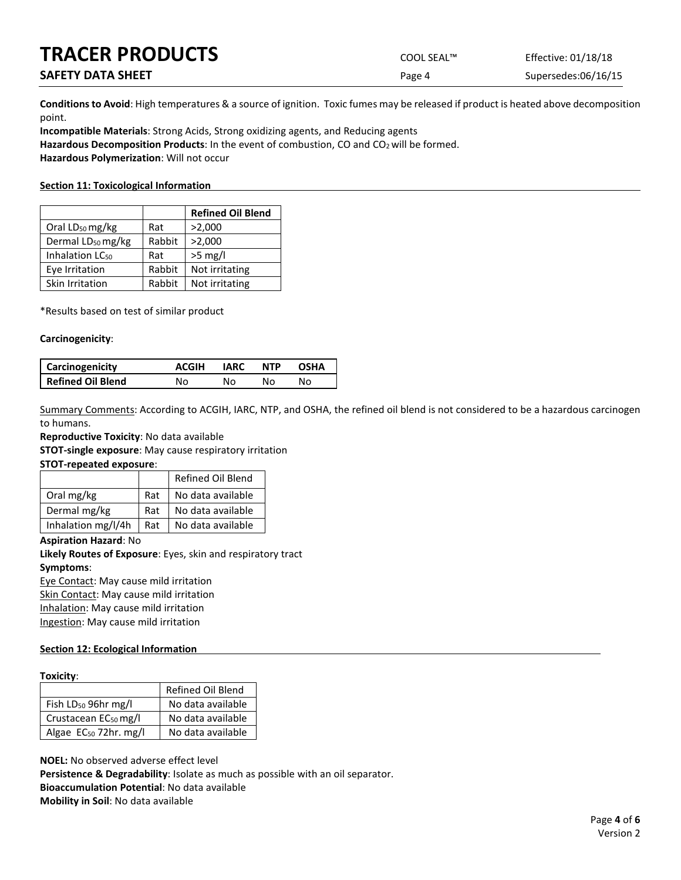# **TRACER PRODUCTS**

**SAFETY DATA SHEET** 

| COOL SEAL™ | Effective: 01/18/18 |
|------------|---------------------|
| Page 4     | Supersedes:06/16/15 |

**Conditions to Avoid**: High temperatures & a source of ignition. Toxic fumes may be released if product is heated above decomposition point.

**Incompatible Materials**: Strong Acids, Strong oxidizing agents, and Reducing agents Hazardous Decomposition Products: In the event of combustion, CO and CO<sub>2</sub> will be formed. **Hazardous Polymerization**: Will not occur

#### **Section 11: Toxicological Information**

|                               |        | <b>Refined Oil Blend</b> |
|-------------------------------|--------|--------------------------|
| Oral LD <sub>50</sub> mg/kg   | Rat    | >2,000                   |
| Dermal LD <sub>50</sub> mg/kg | Rabbit | >2,000                   |
| Inhalation LC <sub>50</sub>   | Rat    | $>5$ mg/l                |
| Eye Irritation                | Rabbit | Not irritating           |
| Skin Irritation               | Rabbit | Not irritating           |

\*Results based on test of similar product

#### **Carcinogenicity**:

| <b>Carcinogenicity</b> | <b>ACGIH</b> | <b>IARC</b> | <b>NTP</b> | OSHA |
|------------------------|--------------|-------------|------------|------|
| Refined Oil Blend      | Nο           | N٥          | N٥         | N٥   |

Summary Comments: According to ACGIH, IARC, NTP, and OSHA, the refined oil blend is not considered to be a hazardous carcinogen to humans.

**Reproductive Toxicity**: No data available

**STOT-single exposure**: May cause respiratory irritation

**STOT-repeated exposure**:

|                    |     | Refined Oil Blend |
|--------------------|-----|-------------------|
| Oral mg/kg         | Rat | No data available |
| Dermal mg/kg       | Rat | No data available |
| Inhalation mg/l/4h | Rat | No data available |

**Aspiration Hazard**: No

**Likely Routes of Exposure**: Eyes, skin and respiratory tract **Symptoms**:

Eye Contact: May cause mild irritation Skin Contact: May cause mild irritation Inhalation: May cause mild irritation

Ingestion: May cause mild irritation

# **Section 12: Ecological Information**

#### **Toxicity**:

|                                   | Refined Oil Blend |
|-----------------------------------|-------------------|
| Fish $LD_{50}$ 96hr mg/l          | No data available |
| Crustacean EC <sub>50</sub> mg/l  | No data available |
| Algae EC <sub>50</sub> 72hr. mg/l | No data available |

**NOEL:** No observed adverse effect level **Persistence & Degradability**: Isolate as much as possible with an oil separator. **Bioaccumulation Potential**: No data available **Mobility in Soil**: No data available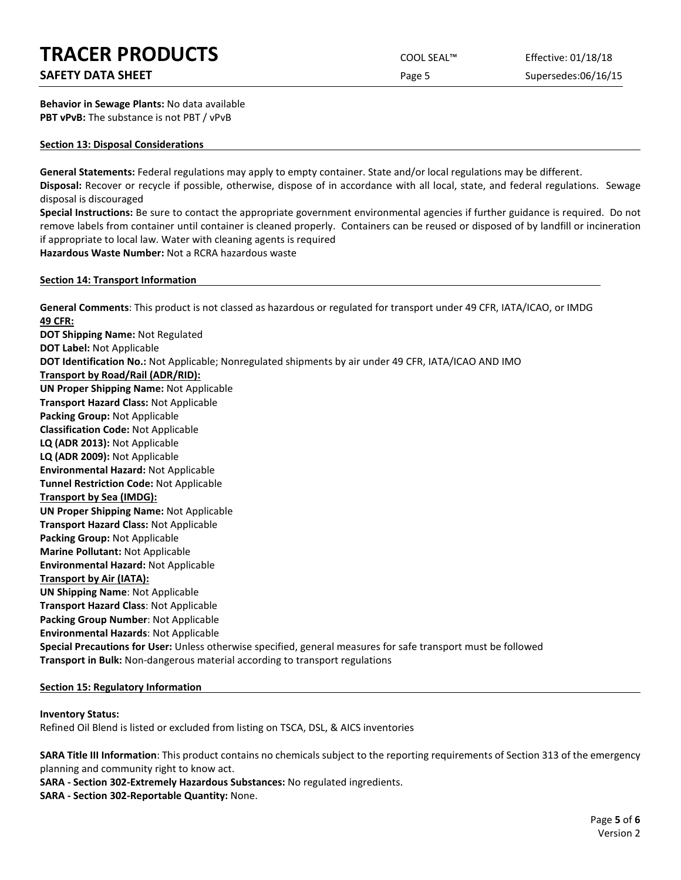# **TRACER PRODUCTS** COOL SEAL™ Effective: 01/18/18

# **SAFETY DATA SHEET SUPERITY DATA SHEET Page 5** Supersedes:06/16/15

**Behavior in Sewage Plants:** No data available **PBT vPvB:** The substance is not PBT / vPvB

#### **Section 13: Disposal Considerations**

**General Statements:** Federal regulations may apply to empty container. State and/or local regulations may be different. **Disposal:** Recover or recycle if possible, otherwise, dispose of in accordance with all local, state, and federal regulations. Sewage disposal is discouraged

**Special Instructions:** Be sure to contact the appropriate government environmental agencies if further guidance is required. Do not remove labels from container until container is cleaned properly. Containers can be reused or disposed of by landfill or incineration if appropriate to local law. Water with cleaning agents is required **Hazardous Waste Number:** Not a RCRA hazardous waste

**Section 14: Transport Information**

**General Comments**: This product is not classed as hazardous or regulated for transport under 49 CFR, IATA/ICAO, or IMDG **49 CFR: DOT Shipping Name:** Not Regulated **DOT Label:** Not Applicable **DOT Identification No.:** Not Applicable; Nonregulated shipments by air under 49 CFR, IATA/ICAO AND IMO **Transport by Road/Rail (ADR/RID): UN Proper Shipping Name:** Not Applicable **Transport Hazard Class:** Not Applicable **Packing Group:** Not Applicable **Classification Code:** Not Applicable **LQ (ADR 2013):** Not Applicable **LQ (ADR 2009):** Not Applicable **Environmental Hazard:** Not Applicable **Tunnel Restriction Code:** Not Applicable **Transport by Sea (IMDG): UN Proper Shipping Name:** Not Applicable **Transport Hazard Class:** Not Applicable **Packing Group:** Not Applicable **Marine Pollutant:** Not Applicable **Environmental Hazard:** Not Applicable **Transport by Air (IATA): UN Shipping Name**: Not Applicable **Transport Hazard Class**: Not Applicable **Packing Group Number**: Not Applicable **Environmental Hazards**: Not Applicable **Special Precautions for User:** Unless otherwise specified, general measures for safe transport must be followed **Transport in Bulk:** Non-dangerous material according to transport regulations

# **Section 15: Regulatory Information**

# **Inventory Status:**

Refined Oil Blend is listed or excluded from listing on TSCA, DSL, & AICS inventories

**SARA Title III Information**: This product contains no chemicals subject to the reporting requirements of Section 313 of the emergency planning and community right to know act.

**SARA - Section 302-Extremely Hazardous Substances:** No regulated ingredients.

**SARA - Section 302-Reportable Quantity:** None.